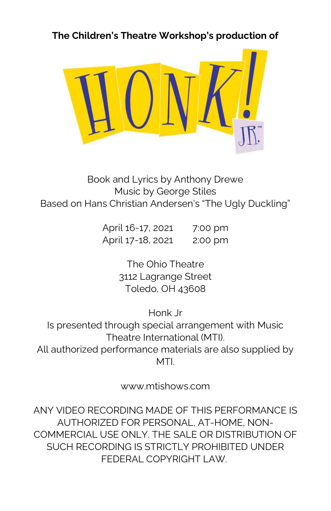The Children's Theatre Workshop's production of



Book and Lyrics by Anthony Drewe Music by George Stiles Based on Hans Christian Andersen's "The Ugly Duckling"

> April 16-17, 2021 7:00 pm April 17-18, 2021 2:00 pm

> > The Ohio Theatre 3112 Lagrange Street Toledo, OH 43608

> > > Honk Jr

Is presented through special arrangement with Music Theatre International (MTI). All authorized performance materials are also supplied by MTI.

www.mtishows.com

ANY VIDEO RECORDING MADE OF THIS PERFORMANCE IS AUTHORIZED FOR PERSONAL, AT-HOME, NON-COMMERCIAL USE ONLY. THE SALE OR DISTRIBUTION OF SUCH RECORDING IS STRICTLY PROHIBITED UNDER FEDERAL COPYRIGHT LAW.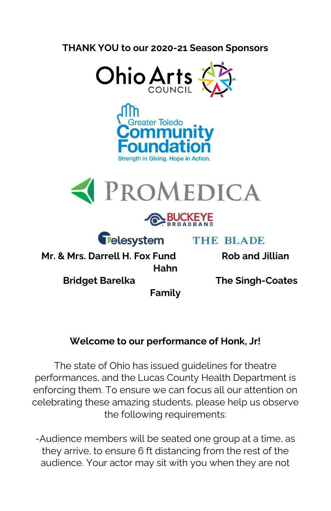#### THANK YOU to our 2020-21 Season Sponsors









**Telesystem** 

**THE BLADE** 

Mr. & Mrs. Darrell H. Fox Fund Rob and Jillian Hahn

Bridget Barelka The Singh-Coates

Family

## Welcome to our performance of Honk, Jr!

The state of Ohio has issued guidelines for theatre performances, and the Lucas County Health Department is enforcing them. To ensure we can focus all our attention on celebrating these amazing students, please help us observe the following requirements:

-Audience members will be seated one group at a time, as they arrive, to ensure 6 ft distancing from the rest of the audience. Your actor may sit with you when they are not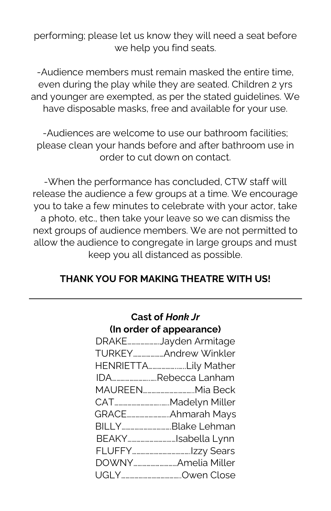performing; please let us know they will need a seat before we help you find seats.

-Audience members must remain masked the entire time, even during the play while they are seated. Children 2 yrs and younger are exempted, as per the stated guidelines. We have disposable masks, free and available for your use.

-Audiences are welcome to use our bathroom facilities; please clean your hands before and after bathroom use in order to cut down on contact.

-When the performance has concluded, CTW staff will release the audience a few groups at a time. We encourage you to take a few minutes to celebrate with your actor, take a photo, etc., then take your leave so we can dismiss the next groups of audience members. We are not permitted to allow the audience to congregate in large groups and must keep you all distanced as possible.

### THANK YOU FOR MAKING THEATRE WITH US!

Cast of Honk Jr

| Gast Ul <i>Hullk Jl</i>   |  |  |
|---------------------------|--|--|
| (In order of appearance)  |  |  |
| DRAKEJayden Armitage      |  |  |
| TURKEY Andrew Winkler     |  |  |
| HENRIETTALily Mather      |  |  |
| IDARebecca Lanham         |  |  |
| MAUREEN…………………………Mia Beck |  |  |
|                           |  |  |
|                           |  |  |
| BILLYBlake Lehman         |  |  |
| BEAKYIsabella Lynn        |  |  |
|                           |  |  |
|                           |  |  |
|                           |  |  |
|                           |  |  |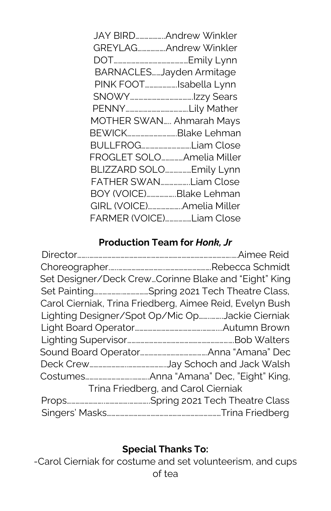| JAY BIRDAndrew Winkler    |  |
|---------------------------|--|
| GREYLAGAndrew Winkler     |  |
|                           |  |
| BARNACLESJayden Armitage  |  |
| PINK FOOTIsabella Lynn    |  |
|                           |  |
|                           |  |
| MOTHER SWAN Ahmarah Mays  |  |
|                           |  |
| BEWICKBlake Lehman        |  |
| BULLFROGLiam Close        |  |
| FROGLET SOLOAmelia Miller |  |
| BLIZZARD SOLOEmily Lynn   |  |
| FATHER SWANLiam Close     |  |
| BOY (VOICE)Blake Lehman   |  |
| GIRL (VOICE)Amelia Miller |  |

## Production Team for Honk, Jr

|                                     | Set Designer/Deck CrewCorinne Blake and "Eight" King     |
|-------------------------------------|----------------------------------------------------------|
|                                     |                                                          |
|                                     | Carol Cierniak, Trina Friedberg, Aimee Reid, Evelyn Bush |
|                                     | Lighting Designer/Spot Op/Mic OpJackie Cierniak          |
|                                     |                                                          |
|                                     |                                                          |
|                                     |                                                          |
|                                     |                                                          |
|                                     |                                                          |
| Trina Friedberg, and Carol Cierniak |                                                          |
|                                     |                                                          |
|                                     |                                                          |

# Special Thanks To:

-Carol Cierniak for costume and set volunteerism, and cups of tea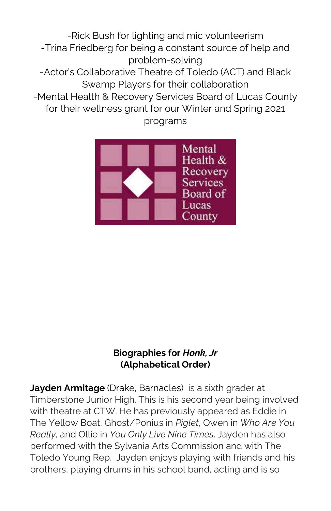-Rick Bush for lighting and mic volunteerism -Trina Friedberg for being a constant source of help and problem-solving -Actor's Collaborative Theatre of Toledo (ACT) and Black Swamp Players for their collaboration -Mental Health & Recovery Services Board of Lucas County for their wellness grant for our Winter and Spring 2021 programs



#### Biographies for Honk, Jr (Alphabetical Order)

Jayden Armitage (Drake, Barnacles) is a sixth grader at Timberstone Junior High. This is his second year being involved with theatre at CTW. He has previously appeared as Eddie in The Yellow Boat, Ghost/Ponius in Piglet, Owen in Who Are You Really, and Ollie in You Only Live Nine Times. Jayden has also performed with the Sylvania Arts Commission and with The Toledo Young Rep. Jayden enjoys playing with friends and his brothers, playing drums in his school band, acting and is so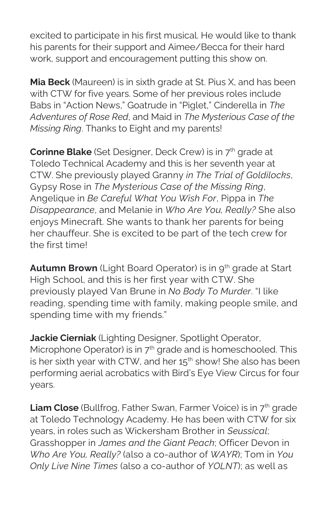excited to participate in his first musical. He would like to thank his parents for their support and Aimee/Becca for their hard work, support and encouragement putting this show on.

Mia Beck (Maureen) is in sixth grade at St. Pius X, and has been with CTW for five years. Some of her previous roles include Babs in "Action News," Goatrude in "Piglet," Cinderella in The Adventures of Rose Red, and Maid in The Mysterious Case of the Missing Ring. Thanks to Eight and my parents!

**Corinne Blake** (Set Designer, Deck Crew) is in  $7<sup>th</sup>$  grade at Toledo Technical Academy and this is her seventh year at CTW. She previously played Granny in The Trial of Goldilocks, Gypsy Rose in The Mysterious Case of the Missing Ring, Angelique in Be Careful What You Wish For, Pippa in The Disappearance, and Melanie in Who Are You, Really? She also enjoys Minecraft. She wants to thank her parents for being her chauffeur. She is excited to be part of the tech crew for the first time!

Autumn Brown (Light Board Operator) is in 9<sup>th</sup> grade at Start High School, and this is her first year with CTW. She previously played Van Brune in No Body To Murder. "I like reading, spending time with family, making people smile, and spending time with my friends."

Jackie Cierniak (Lighting Designer, Spotlight Operator, Microphone Operator) is in  $7<sup>th</sup>$  grade and is homeschooled. This is her sixth year with CTW, and her  $15<sup>th</sup>$  show! She also has been performing aerial acrobatics with Bird's Eye View Circus for four years.

**Liam Close** (Bullfrog, Father Swan, Farmer Voice) is in  $7<sup>th</sup>$  grade at Toledo Technology Academy. He has been with CTW for six years, in roles such as Wickersham Brother in Seussical; Grasshopper in James and the Giant Peach; Officer Devon in Who Are You, Really? (also a co-author of WAYR); Tom in You Only Live Nine Times (also a co-author of YOLNT); as well as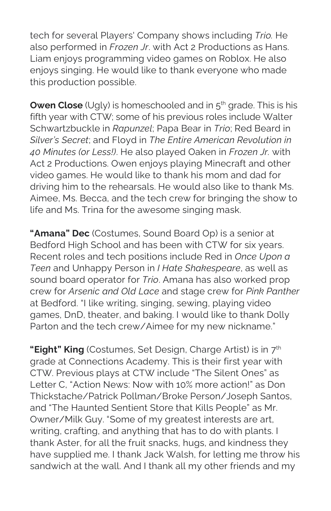tech for several Players' Company shows including Trio. He also performed in Frozen Jr. with Act 2 Productions as Hans. Liam enjoys programming video games on Roblox. He also enjoys singing. He would like to thank everyone who made this production possible.

**Owen Close** (Ugly) is homeschooled and in  $5<sup>th</sup>$  grade. This is his fifth year with CTW; some of his previous roles include Walter Schwartzbuckle in Rapunzel; Papa Bear in Trio; Red Beard in Silver's Secret; and Floyd in The Entire American Revolution in 40 Minutes (or Less!). He also played Oaken in Frozen Jr. with Act 2 Productions. Owen enjoys playing Minecraft and other video games. He would like to thank his mom and dad for driving him to the rehearsals. He would also like to thank Ms. Aimee, Ms. Becca, and the tech crew for bringing the show to life and Ms. Trina for the awesome singing mask.

"Amana" Dec (Costumes, Sound Board Op) is a senior at Bedford High School and has been with CTW for six years. Recent roles and tech positions include Red in Once Upon a Teen and Unhappy Person in I Hate Shakespeare, as well as sound board operator for Trio. Amana has also worked prop crew for Arsenic and Old Lace and stage crew for Pink Panther at Bedford. "I like writing, singing, sewing, playing video games, DnD, theater, and baking. I would like to thank Dolly Parton and the tech crew/Aimee for my new nickname."

"Eight" King (Costumes, Set Design, Charge Artist) is in 7<sup>th</sup> grade at Connections Academy. This is their first year with CTW. Previous plays at CTW include "The Silent Ones" as Letter C, "Action News: Now with 10% more action!" as Don Thickstache/Patrick Pollman/Broke Person/Joseph Santos, and "The Haunted Sentient Store that Kills People" as Mr. Owner/Milk Guy. "Some of my greatest interests are art, writing, crafting, and anything that has to do with plants. I thank Aster, for all the fruit snacks, hugs, and kindness they have supplied me. I thank Jack Walsh, for letting me throw his sandwich at the wall. And I thank all my other friends and my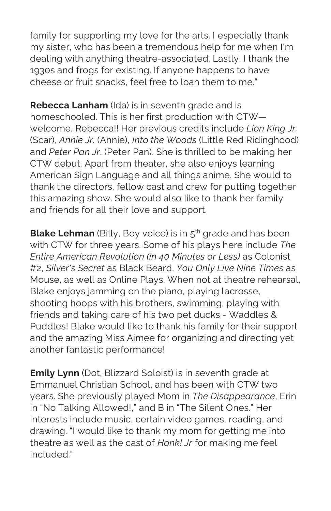family for supporting my love for the arts. I especially thank my sister, who has been a tremendous help for me when I'm dealing with anything theatre-associated. Lastly, I thank the 1930s and frogs for existing. If anyone happens to have cheese or fruit snacks, feel free to loan them to me."

Rebecca Lanham (Ida) is in seventh grade and is homeschooled. This is her first production with CTW welcome, Rebecca!! Her previous credits include Lion King Jr. (Scar), Annie Jr. (Annie), Into the Woods (Little Red Ridinghood) and Peter Pan Jr. (Peter Pan). She is thrilled to be making her CTW debut. Apart from theater, she also enjoys learning American Sign Language and all things anime. She would to thank the directors, fellow cast and crew for putting together this amazing show. She would also like to thank her family and friends for all their love and support.

Blake Lehman (Billy, Boy voice) is in 5<sup>th</sup> grade and has been with CTW for three years. Some of his plays here include The Entire American Revolution (in 40 Minutes or Less) as Colonist #2, Silver's Secret as Black Beard, You Only Live Nine Times as Mouse, as well as Online Plays. When not at theatre rehearsal, Blake enjoys jamming on the piano, playing lacrosse, shooting hoops with his brothers, swimming, playing with friends and taking care of his two pet ducks - Waddles & Puddles! Blake would like to thank his family for their support and the amazing Miss Aimee for organizing and directing yet another fantastic performance!

**Emily Lynn** (Dot, Blizzard Soloist) is in seventh grade at Emmanuel Christian School, and has been with CTW two years. She previously played Mom in The Disappearance, Erin in "No Talking Allowed!," and B in "The Silent Ones." Her interests include music, certain video games, reading, and drawing. "I would like to thank my mom for getting me into theatre as well as the cast of Honk! Jr for making me feel included."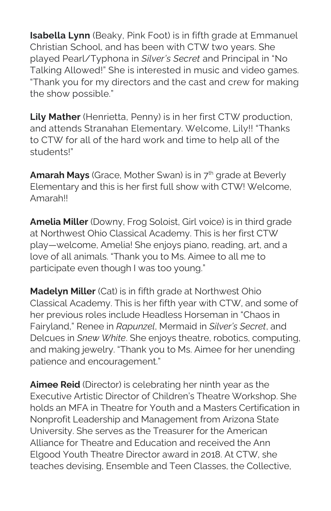Isabella Lynn (Beaky, Pink Foot) is in fifth grade at Emmanuel Christian School, and has been with CTW two years. She played Pearl/Typhona in Silver's Secret and Principal in "No Talking Allowed!" She is interested in music and video games. "Thank you for my directors and the cast and crew for making the show possible."

Lily Mather (Henrietta, Penny) is in her first CTW production, and attends Stranahan Elementary. Welcome, Lily!! "Thanks to CTW for all of the hard work and time to help all of the students!"

**Amarah Mays** (Grace, Mother Swan) is in  $7<sup>th</sup>$  grade at Beverly Elementary and this is her first full show with CTW! Welcome, **Amarah!!** 

Amelia Miller (Downy, Frog Soloist, Girl voice) is in third grade at Northwest Ohio Classical Academy. This is her first CTW play—welcome, Amelia! She enjoys piano, reading, art, and a love of all animals. "Thank you to Ms. Aimee to all me to participate even though I was too young."

Madelyn Miller (Cat) is in fifth grade at Northwest Ohio Classical Academy. This is her fifth year with CTW, and some of her previous roles include Headless Horseman in "Chaos in Fairyland," Renee in Rapunzel, Mermaid in Silver's Secret, and Delcues in Snew White. She enjoys theatre, robotics, computing, and making jewelry. "Thank you to Ms. Aimee for her unending patience and encouragement."

Aimee Reid (Director) is celebrating her ninth year as the Executive Artistic Director of Children's Theatre Workshop. She holds an MFA in Theatre for Youth and a Masters Certification in Nonprofit Leadership and Management from Arizona State University. She serves as the Treasurer for the American Alliance for Theatre and Education and received the Ann Elgood Youth Theatre Director award in 2018. At CTW, she teaches devising, Ensemble and Teen Classes, the Collective,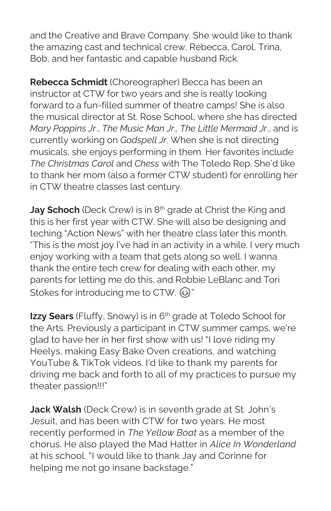and the Creative and Brave Company. She would like to thank the amazing cast and technical crew, Rebecca, Carol, Trina, Bob, and her fantastic and capable husband Rick.

Rebecca Schmidt (Choreographer) Becca has been an instructor at CTW for two years and she is really looking forward to a fun-filled summer of theatre camps! She is also the musical director at St. Rose School, where she has directed Mary Poppins Jr., The Music Man Jr., The Little Mermaid Jr., and is currently working on Godspell Jr. When she is not directing musicals, she enjoys performing in them. Her favorites include The Christmas Carol and Chess with The Toledo Rep. She'd like to thank her mom (also a former CTW student) for enrolling her in CTW theatre classes last century.

**Jay Schoch** (Deck Crew) is in  $8<sup>th</sup>$  grade at Christ the King and this is her first year with CTW. She will also be designing and teching "Action News" with her theatre class later this month. "This is the most joy I've had in an activity in a while. I very much enjoy working with a team that gets along so well. I wanna thank the entire tech crew for dealing with each other, my parents for letting me do this, and Robbie LeBlanc and Tori stokes for introducing me to CTW. @"

Izzy Sears (Fluffy, Snowy) is in 6<sup>th</sup> grade at Toledo School for the Arts. Previously a participant in CTW summer camps, we're glad to have her in her first show with us! "I love riding my Heelys, making Easy Bake Oven creations, and watching YouTube & TikTok videos. I'd like to thank my parents for driving me back and forth to all of my practices to pursue my theater passion!!!"

Jack Walsh (Deck Crew) is in seventh grade at St. John's Jesuit, and has been with CTW for two years. He most recently performed in The Yellow Boat as a member of the chorus. He also played the Mad Hatter in Alice In Wonderland at his school. "I would like to thank Jay and Corinne for helping me not go insane backstage."